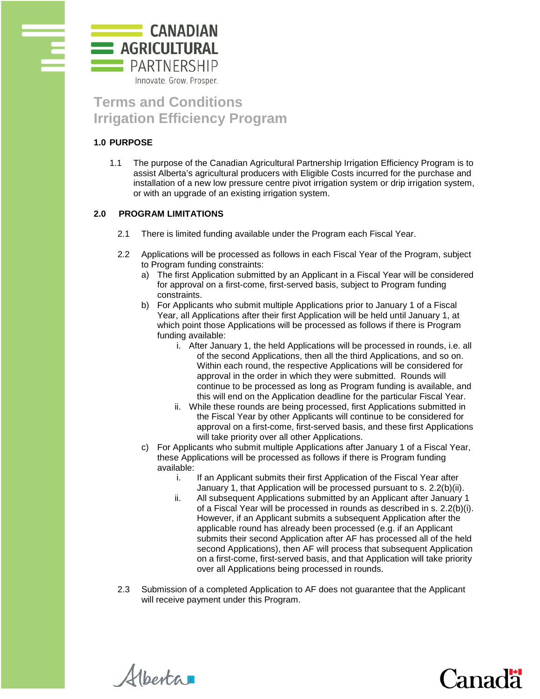

# **Terms and Conditions Irrigation Efficiency Program**

# **1.0 PURPOSE**

1.1 The purpose of the Canadian Agricultural Partnership Irrigation Efficiency Program is to assist Alberta's agricultural producers with Eligible Costs incurred for the purchase and installation of a new low pressure centre pivot irrigation system or drip irrigation system, or with an upgrade of an existing irrigation system.

# **2.0 PROGRAM LIMITATIONS**

- 2.1 There is limited funding available under the Program each Fiscal Year.
- 2.2 Applications will be processed as follows in each Fiscal Year of the Program, subject to Program funding constraints:
	- a) The first Application submitted by an Applicant in a Fiscal Year will be considered for approval on a first-come, first-served basis, subject to Program funding constraints.
	- b) For Applicants who submit multiple Applications prior to January 1 of a Fiscal Year, all Applications after their first Application will be held until January 1, at which point those Applications will be processed as follows if there is Program funding available:
		- i. After January 1, the held Applications will be processed in rounds, i.e. all of the second Applications, then all the third Applications, and so on. Within each round, the respective Applications will be considered for approval in the order in which they were submitted. Rounds will continue to be processed as long as Program funding is available, and this will end on the Application deadline for the particular Fiscal Year.
		- ii. While these rounds are being processed, first Applications submitted in the Fiscal Year by other Applicants will continue to be considered for approval on a first-come, first-served basis, and these first Applications will take priority over all other Applications.
	- c) For Applicants who submit multiple Applications after January 1 of a Fiscal Year, these Applications will be processed as follows if there is Program funding available:
		- i. If an Applicant submits their first Application of the Fiscal Year after January 1, that Application will be processed pursuant to s. 2.2(b)(ii).
		- ii. All subsequent Applications submitted by an Applicant after January 1 of a Fiscal Year will be processed in rounds as described in s. 2.2(b)(i). However, if an Applicant submits a subsequent Application after the applicable round has already been processed (e.g. if an Applicant submits their second Application after AF has processed all of the held second Applications), then AF will process that subsequent Application on a first-come, first-served basis, and that Application will take priority over all Applications being processed in rounds.
- 2.3 Submission of a completed Application to AF does not guarantee that the Applicant will receive payment under this Program.

Alberta

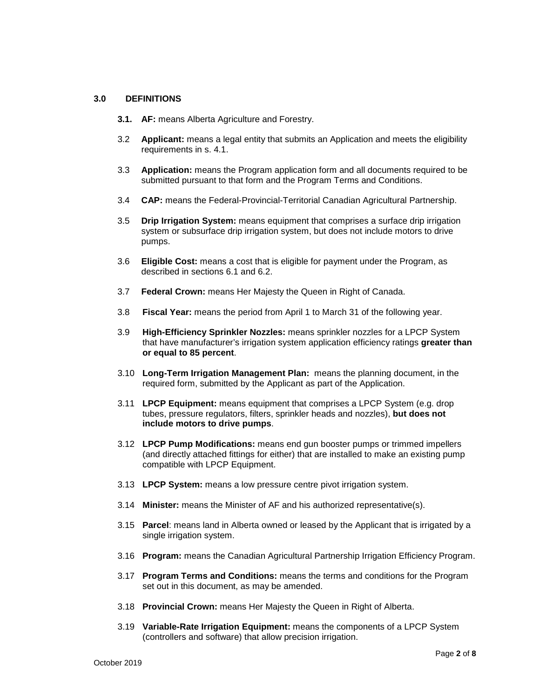## **3.0 DEFINITIONS**

- **3.1. AF:** means Alberta Agriculture and Forestry.
- 3.2 **Applicant:** means a legal entity that submits an Application and meets the eligibility requirements in s. 4.1.
- 3.3 **Application:** means the Program application form and all documents required to be submitted pursuant to that form and the Program Terms and Conditions.
- 3.4 **CAP:** means the Federal-Provincial-Territorial Canadian Agricultural Partnership.
- 3.5 **Drip Irrigation System:** means equipment that comprises a surface drip irrigation system or subsurface drip irrigation system, but does not include motors to drive pumps.
- 3.6 **Eligible Cost:** means a cost that is eligible for payment under the Program, as described in sections 6.1 and 6.2.
- 3.7 **Federal Crown:** means Her Majesty the Queen in Right of Canada.
- 3.8 **Fiscal Year:** means the period from April 1 to March 31 of the following year.
- 3.9 **High-Efficiency Sprinkler Nozzles:** means sprinkler nozzles for a LPCP System that have manufacturer's irrigation system application efficiency ratings **greater than or equal to 85 percent**.
- 3.10 **Long-Term Irrigation Management Plan:** means the planning document, in the required form, submitted by the Applicant as part of the Application.
- 3.11 **LPCP Equipment:** means equipment that comprises a LPCP System (e.g. drop tubes, pressure regulators, filters, sprinkler heads and nozzles), **but does not include motors to drive pumps**.
- 3.12 **LPCP Pump Modifications:** means end gun booster pumps or trimmed impellers (and directly attached fittings for either) that are installed to make an existing pump compatible with LPCP Equipment.
- 3.13 **LPCP System:** means a low pressure centre pivot irrigation system.
- 3.14 **Minister:** means the Minister of AF and his authorized representative(s).
- 3.15 **Parcel**: means land in Alberta owned or leased by the Applicant that is irrigated by a single irrigation system.
- 3.16 **Program:** means the Canadian Agricultural Partnership Irrigation Efficiency Program.
- 3.17 **Program Terms and Conditions:** means the terms and conditions for the Program set out in this document, as may be amended.
- 3.18 **Provincial Crown:** means Her Majesty the Queen in Right of Alberta.
- 3.19 **Variable-Rate Irrigation Equipment:** means the components of a LPCP System (controllers and software) that allow precision irrigation.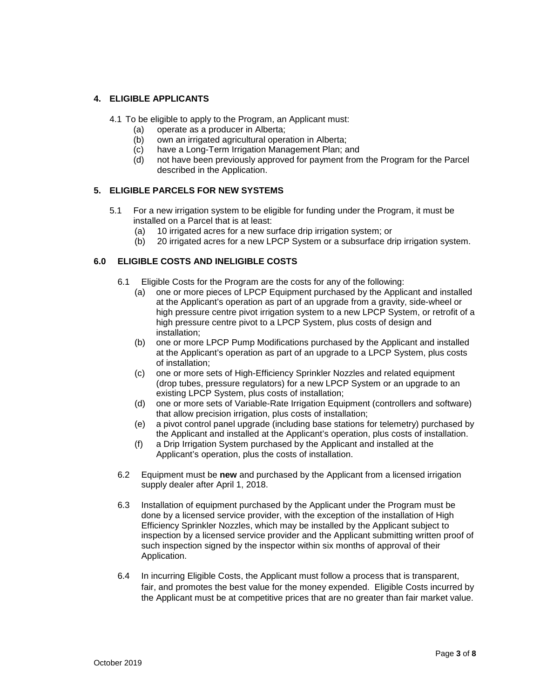# **4. ELIGIBLE APPLICANTS**

4.1 To be eligible to apply to the Program, an Applicant must:

- (a) operate as a producer in Alberta;
- (b) own an irrigated agricultural operation in Alberta;
- (c) have a Long-Term Irrigation Management Plan; and
- (d) not have been previously approved for payment from the Program for the Parcel described in the Application.

# **5. ELIGIBLE PARCELS FOR NEW SYSTEMS**

- 5.1 For a new irrigation system to be eligible for funding under the Program, it must be installed on a Parcel that is at least:
	- (a) 10 irrigated acres for a new surface drip irrigation system; or
	- (b) 20 irrigated acres for a new LPCP System or a subsurface drip irrigation system.

## **6.0 ELIGIBLE COSTS AND INELIGIBLE COSTS**

- 6.1 Eligible Costs for the Program are the costs for any of the following:
	- (a) one or more pieces of LPCP Equipment purchased by the Applicant and installed at the Applicant's operation as part of an upgrade from a gravity, side-wheel or high pressure centre pivot irrigation system to a new LPCP System, or retrofit of a high pressure centre pivot to a LPCP System, plus costs of design and installation;
	- (b) one or more LPCP Pump Modifications purchased by the Applicant and installed at the Applicant's operation as part of an upgrade to a LPCP System, plus costs of installation;
	- (c) one or more sets of High-Efficiency Sprinkler Nozzles and related equipment (drop tubes, pressure regulators) for a new LPCP System or an upgrade to an existing LPCP System, plus costs of installation;
	- (d) one or more sets of Variable-Rate Irrigation Equipment (controllers and software) that allow precision irrigation, plus costs of installation;
	- (e) a pivot control panel upgrade (including base stations for telemetry) purchased by the Applicant and installed at the Applicant's operation, plus costs of installation.
	- (f) a Drip Irrigation System purchased by the Applicant and installed at the Applicant's operation, plus the costs of installation.
- 6.2 Equipment must be **new** and purchased by the Applicant from a licensed irrigation supply dealer after April 1, 2018.
- 6.3 Installation of equipment purchased by the Applicant under the Program must be done by a licensed service provider, with the exception of the installation of High Efficiency Sprinkler Nozzles, which may be installed by the Applicant subject to inspection by a licensed service provider and the Applicant submitting written proof of such inspection signed by the inspector within six months of approval of their Application.
- 6.4 In incurring Eligible Costs, the Applicant must follow a process that is transparent, fair, and promotes the best value for the money expended. Eligible Costs incurred by the Applicant must be at competitive prices that are no greater than fair market value.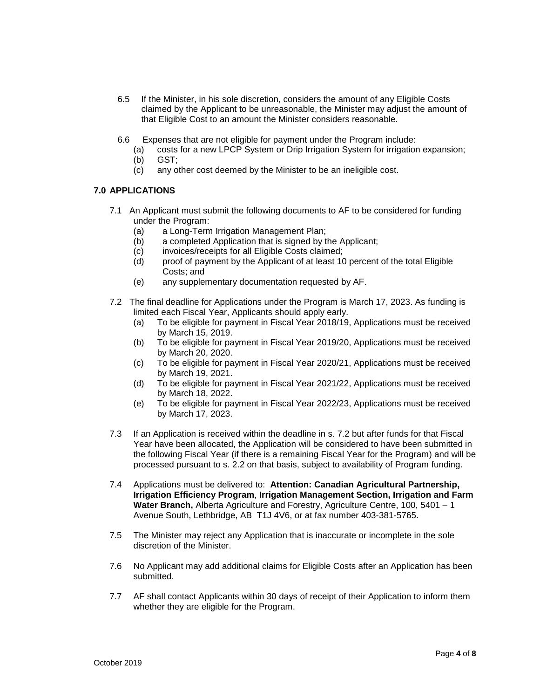- 6.5 If the Minister, in his sole discretion, considers the amount of any Eligible Costs claimed by the Applicant to be unreasonable, the Minister may adjust the amount of that Eligible Cost to an amount the Minister considers reasonable.
- 6.6 Expenses that are not eligible for payment under the Program include:
	- (a) costs for a new LPCP System or Drip Irrigation System for irrigation expansion; (b) GST;
	- (c) any other cost deemed by the Minister to be an ineligible cost.

## **7.0 APPLICATIONS**

- 7.1 An Applicant must submit the following documents to AF to be considered for funding under the Program:
	- (a) a Long-Term Irrigation Management Plan;
	- (b) a completed Application that is signed by the Applicant;
	- (c) invoices/receipts for all Eligible Costs claimed;
	- (d) proof of payment by the Applicant of at least 10 percent of the total Eligible Costs; and
	- (e) any supplementary documentation requested by AF.
- 7.2 The final deadline for Applications under the Program is March 17, 2023. As funding is limited each Fiscal Year, Applicants should apply early.
	- (a) To be eligible for payment in Fiscal Year 2018/19, Applications must be received by March 15, 2019.
	- (b) To be eligible for payment in Fiscal Year 2019/20, Applications must be received by March 20, 2020.
	- (c) To be eligible for payment in Fiscal Year 2020/21, Applications must be received by March 19, 2021.
	- (d) To be eligible for payment in Fiscal Year 2021/22, Applications must be received by March 18, 2022.
	- (e) To be eligible for payment in Fiscal Year 2022/23, Applications must be received by March 17, 2023.
- 7.3 If an Application is received within the deadline in s. 7.2 but after funds for that Fiscal Year have been allocated, the Application will be considered to have been submitted in the following Fiscal Year (if there is a remaining Fiscal Year for the Program) and will be processed pursuant to s. 2.2 on that basis, subject to availability of Program funding.
- 7.4 Applications must be delivered to: **Attention: Canadian Agricultural Partnership, Irrigation Efficiency Program**, **Irrigation Management Section, Irrigation and Farm Water Branch,** Alberta Agriculture and Forestry, Agriculture Centre, 100, 5401 – 1 Avenue South, Lethbridge, AB T1J 4V6, or at fax number 403-381-5765.
- 7.5 The Minister may reject any Application that is inaccurate or incomplete in the sole discretion of the Minister.
- 7.6 No Applicant may add additional claims for Eligible Costs after an Application has been submitted.
- 7.7 AF shall contact Applicants within 30 days of receipt of their Application to inform them whether they are eligible for the Program.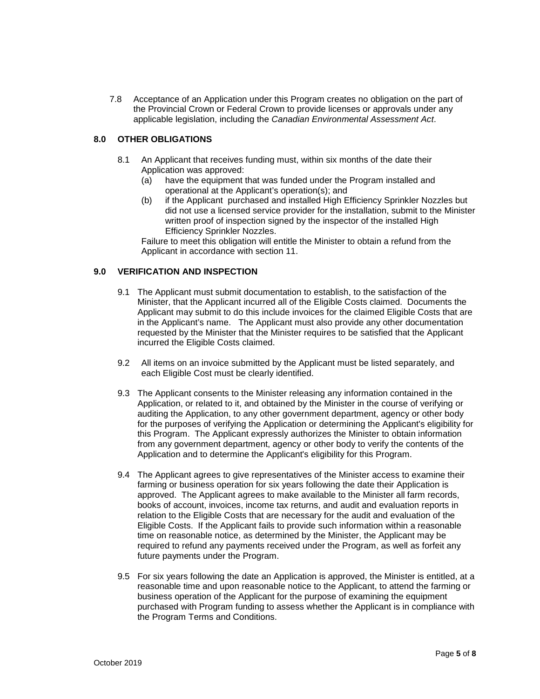7.8 Acceptance of an Application under this Program creates no obligation on the part of the Provincial Crown or Federal Crown to provide licenses or approvals under any applicable legislation, including the *Canadian Environmental Assessment Act*.

# **8.0 OTHER OBLIGATIONS**

- 8.1 An Applicant that receives funding must, within six months of the date their Application was approved:
	- (a) have the equipment that was funded under the Program installed and operational at the Applicant's operation(s); and
	- (b) if the Applicant purchased and installed High Efficiency Sprinkler Nozzles but did not use a licensed service provider for the installation, submit to the Minister written proof of inspection signed by the inspector of the installed High Efficiency Sprinkler Nozzles.

Failure to meet this obligation will entitle the Minister to obtain a refund from the Applicant in accordance with section 11.

## **9.0 VERIFICATION AND INSPECTION**

- 9.1 The Applicant must submit documentation to establish, to the satisfaction of the Minister, that the Applicant incurred all of the Eligible Costs claimed. Documents the Applicant may submit to do this include invoices for the claimed Eligible Costs that are in the Applicant's name. The Applicant must also provide any other documentation requested by the Minister that the Minister requires to be satisfied that the Applicant incurred the Eligible Costs claimed.
- 9.2 All items on an invoice submitted by the Applicant must be listed separately, and each Eligible Cost must be clearly identified.
- 9.3 The Applicant consents to the Minister releasing any information contained in the Application, or related to it, and obtained by the Minister in the course of verifying or auditing the Application, to any other government department, agency or other body for the purposes of verifying the Application or determining the Applicant's eligibility for this Program. The Applicant expressly authorizes the Minister to obtain information from any government department, agency or other body to verify the contents of the Application and to determine the Applicant's eligibility for this Program.
- 9.4 The Applicant agrees to give representatives of the Minister access to examine their farming or business operation for six years following the date their Application is approved. The Applicant agrees to make available to the Minister all farm records, books of account, invoices, income tax returns, and audit and evaluation reports in relation to the Eligible Costs that are necessary for the audit and evaluation of the Eligible Costs. If the Applicant fails to provide such information within a reasonable time on reasonable notice, as determined by the Minister, the Applicant may be required to refund any payments received under the Program, as well as forfeit any future payments under the Program.
- 9.5 For six years following the date an Application is approved, the Minister is entitled, at a reasonable time and upon reasonable notice to the Applicant, to attend the farming or business operation of the Applicant for the purpose of examining the equipment purchased with Program funding to assess whether the Applicant is in compliance with the Program Terms and Conditions.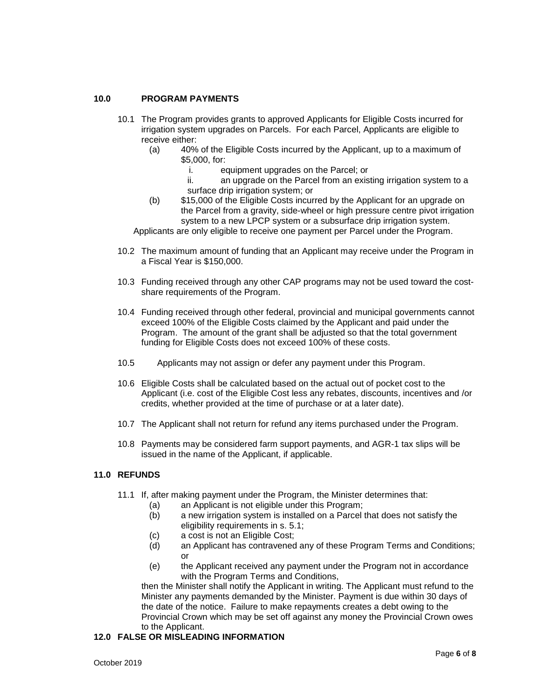# **10.0 PROGRAM PAYMENTS**

- 10.1 The Program provides grants to approved Applicants for Eligible Costs incurred for irrigation system upgrades on Parcels. For each Parcel, Applicants are eligible to receive either:
	- (a) 40% of the Eligible Costs incurred by the Applicant, up to a maximum of \$5,000, for:
		- i. equipment upgrades on the Parcel; or
		- ii. an upgrade on the Parcel from an existing irrigation system to a surface drip irrigation system; or
	- (b) \$15,000 of the Eligible Costs incurred by the Applicant for an upgrade on the Parcel from a gravity, side-wheel or high pressure centre pivot irrigation system to a new LPCP system or a subsurface drip irrigation system.

Applicants are only eligible to receive one payment per Parcel under the Program.

- 10.2 The maximum amount of funding that an Applicant may receive under the Program in a Fiscal Year is \$150,000.
- 10.3 Funding received through any other CAP programs may not be used toward the costshare requirements of the Program.
- 10.4 Funding received through other federal, provincial and municipal governments cannot exceed 100% of the Eligible Costs claimed by the Applicant and paid under the Program. The amount of the grant shall be adjusted so that the total government funding for Eligible Costs does not exceed 100% of these costs.
- 10.5 Applicants may not assign or defer any payment under this Program.
- 10.6 Eligible Costs shall be calculated based on the actual out of pocket cost to the Applicant (i.e. cost of the Eligible Cost less any rebates, discounts, incentives and /or credits, whether provided at the time of purchase or at a later date).
- 10.7 The Applicant shall not return for refund any items purchased under the Program.
- 10.8 Payments may be considered farm support payments, and AGR-1 tax slips will be issued in the name of the Applicant, if applicable.

## **11.0 REFUNDS**

- 11.1 If, after making payment under the Program, the Minister determines that:
	- (a) an Applicant is not eligible under this Program;
	- (b) a new irrigation system is installed on a Parcel that does not satisfy the eligibility requirements in s. 5.1;
	- (c) a cost is not an Eligible Cost;
	- (d) an Applicant has contravened any of these Program Terms and Conditions; or
	- (e) the Applicant received any payment under the Program not in accordance with the Program Terms and Conditions,

then the Minister shall notify the Applicant in writing. The Applicant must refund to the Minister any payments demanded by the Minister. Payment is due within 30 days of the date of the notice. Failure to make repayments creates a debt owing to the Provincial Crown which may be set off against any money the Provincial Crown owes to the Applicant.

## **12.0 FALSE OR MISLEADING INFORMATION**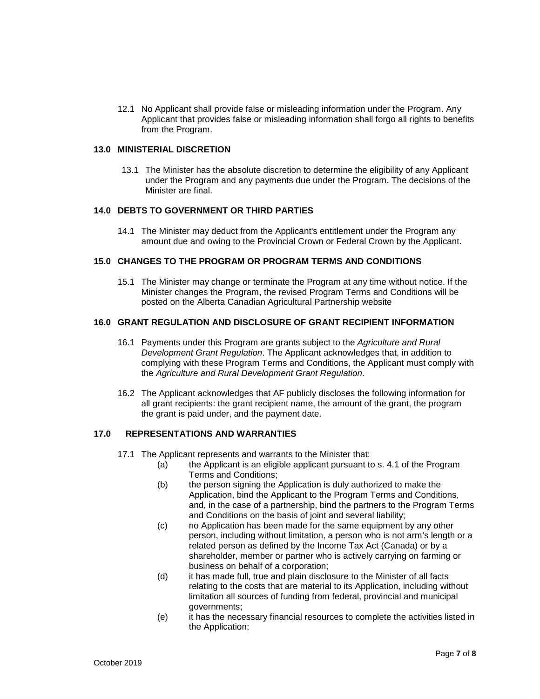12.1 No Applicant shall provide false or misleading information under the Program. Any Applicant that provides false or misleading information shall forgo all rights to benefits from the Program.

#### **13.0 MINISTERIAL DISCRETION**

13.1 The Minister has the absolute discretion to determine the eligibility of any Applicant under the Program and any payments due under the Program. The decisions of the Minister are final.

## **14.0 DEBTS TO GOVERNMENT OR THIRD PARTIES**

14.1 The Minister may deduct from the Applicant's entitlement under the Program any amount due and owing to the Provincial Crown or Federal Crown by the Applicant.

#### **15.0 CHANGES TO THE PROGRAM OR PROGRAM TERMS AND CONDITIONS**

15.1 The Minister may change or terminate the Program at any time without notice. If the Minister changes the Program, the revised Program Terms and Conditions will be posted on the Alberta Canadian Agricultural Partnership website

## **16.0 GRANT REGULATION AND DISCLOSURE OF GRANT RECIPIENT INFORMATION**

- 16.1 Payments under this Program are grants subject to the *Agriculture and Rural Development Grant Regulation*. The Applicant acknowledges that, in addition to complying with these Program Terms and Conditions, the Applicant must comply with the *Agriculture and Rural Development Grant Regulation*.
- 16.2 The Applicant acknowledges that AF publicly discloses the following information for all grant recipients: the grant recipient name, the amount of the grant, the program the grant is paid under, and the payment date.

## **17.0 REPRESENTATIONS AND WARRANTIES**

- 17.1 The Applicant represents and warrants to the Minister that:
	- (a) the Applicant is an eligible applicant pursuant to s. 4.1 of the Program Terms and Conditions;
	- (b) the person signing the Application is duly authorized to make the Application, bind the Applicant to the Program Terms and Conditions, and, in the case of a partnership, bind the partners to the Program Terms and Conditions on the basis of joint and several liability;
	- (c) no Application has been made for the same equipment by any other person, including without limitation, a person who is not arm's length or a related person as defined by the Income Tax Act (Canada) or by a shareholder, member or partner who is actively carrying on farming or business on behalf of a corporation;
	- (d) it has made full, true and plain disclosure to the Minister of all facts relating to the costs that are material to its Application, including without limitation all sources of funding from federal, provincial and municipal governments;
	- (e) it has the necessary financial resources to complete the activities listed in the Application;